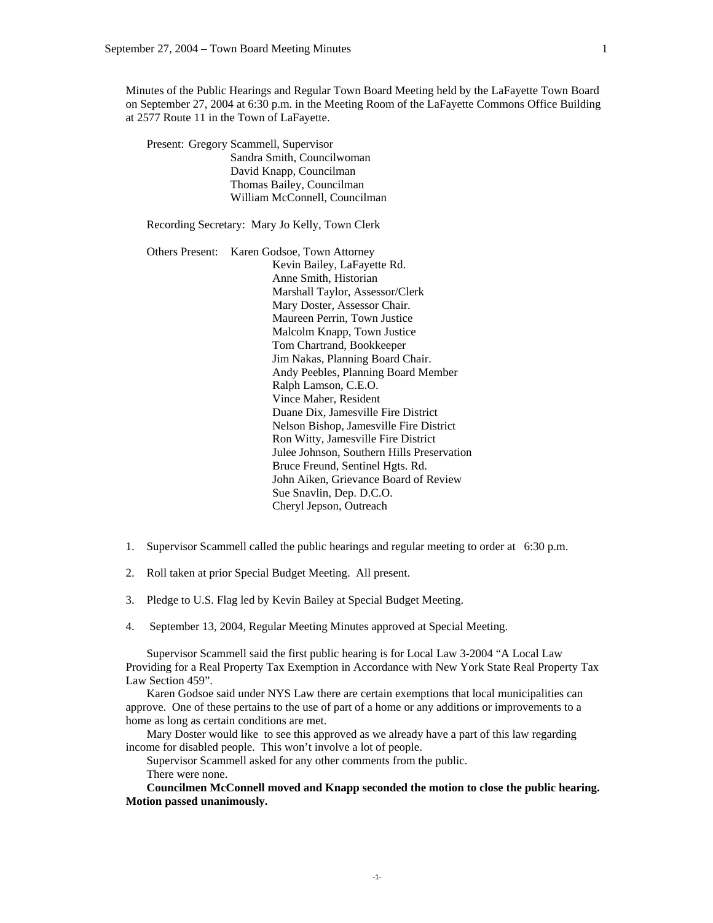Minutes of the Public Hearings and Regular Town Board Meeting held by the LaFayette Town Board on September 27, 2004 at 6:30 p.m. in the Meeting Room of the LaFayette Commons Office Building at 2577 Route 11 in the Town of LaFayette.

 Present: Gregory Scammell, Supervisor Sandra Smith, Councilwoman David Knapp, Councilman Thomas Bailey, Councilman William McConnell, Councilman

Recording Secretary: Mary Jo Kelly, Town Clerk

 Others Present: Karen Godsoe, Town Attorney Kevin Bailey, LaFayette Rd. Anne Smith, Historian Marshall Taylor, Assessor/Clerk Mary Doster, Assessor Chair. Maureen Perrin, Town Justice Malcolm Knapp, Town Justice Tom Chartrand, Bookkeeper Jim Nakas, Planning Board Chair. Andy Peebles, Planning Board Member Ralph Lamson, C.E.O. Vince Maher, Resident Duane Dix, Jamesville Fire District Nelson Bishop, Jamesville Fire District Ron Witty, Jamesville Fire District Julee Johnson, Southern Hills Preservation Bruce Freund, Sentinel Hgts. Rd. John Aiken, Grievance Board of Review Sue Snavlin, Dep. D.C.O. Cheryl Jepson, Outreach

- 1. Supervisor Scammell called the public hearings and regular meeting to order at 6:30 p.m.
- 2. Roll taken at prior Special Budget Meeting. All present.
- 3. Pledge to U.S. Flag led by Kevin Bailey at Special Budget Meeting.
- 4. September 13, 2004, Regular Meeting Minutes approved at Special Meeting.

Supervisor Scammell said the first public hearing is for Local Law 3-2004 "A Local Law Providing for a Real Property Tax Exemption in Accordance with New York State Real Property Tax Law Section 459".

 Karen Godsoe said under NYS Law there are certain exemptions that local municipalities can approve. One of these pertains to the use of part of a home or any additions or improvements to a home as long as certain conditions are met.

 Mary Doster would like to see this approved as we already have a part of this law regarding income for disabled people. This won't involve a lot of people.

Supervisor Scammell asked for any other comments from the public.

There were none.

**Councilmen McConnell moved and Knapp seconded the motion to close the public hearing. Motion passed unanimously.**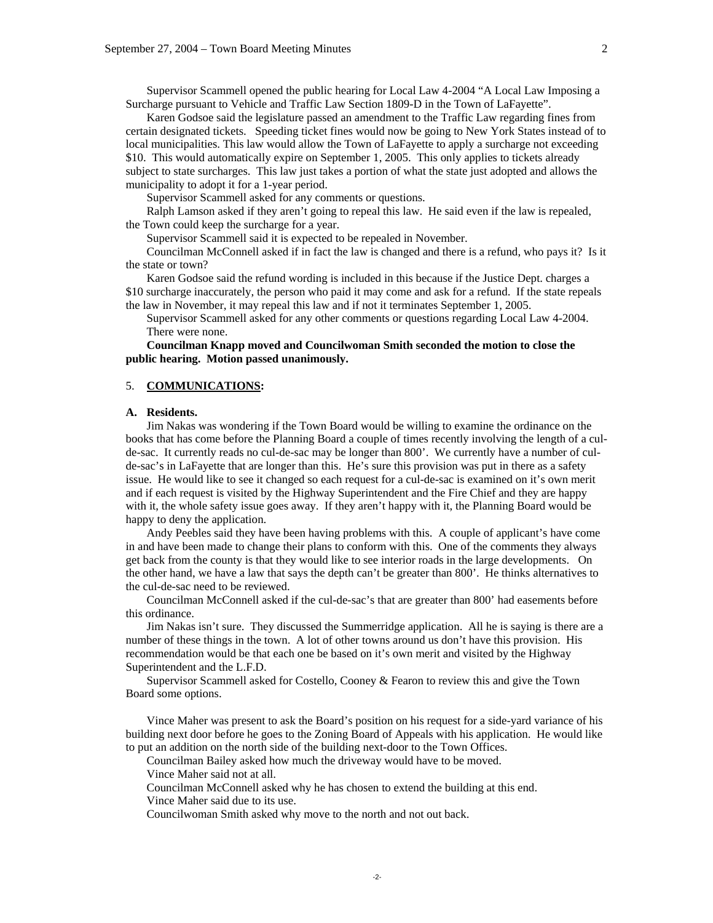Supervisor Scammell opened the public hearing for Local Law 4-2004 "A Local Law Imposing a Surcharge pursuant to Vehicle and Traffic Law Section 1809-D in the Town of LaFayette".

 Karen Godsoe said the legislature passed an amendment to the Traffic Law regarding fines from certain designated tickets. Speeding ticket fines would now be going to New York States instead of to local municipalities. This law would allow the Town of LaFayette to apply a surcharge not exceeding \$10. This would automatically expire on September 1, 2005. This only applies to tickets already subject to state surcharges. This law just takes a portion of what the state just adopted and allows the municipality to adopt it for a 1-year period.

Supervisor Scammell asked for any comments or questions.

 Ralph Lamson asked if they aren't going to repeal this law. He said even if the law is repealed, the Town could keep the surcharge for a year.

Supervisor Scammell said it is expected to be repealed in November.

 Councilman McConnell asked if in fact the law is changed and there is a refund, who pays it? Is it the state or town?

 Karen Godsoe said the refund wording is included in this because if the Justice Dept. charges a \$10 surcharge inaccurately, the person who paid it may come and ask for a refund. If the state repeals the law in November, it may repeal this law and if not it terminates September 1, 2005.

 Supervisor Scammell asked for any other comments or questions regarding Local Law 4-2004. There were none.

## **Councilman Knapp moved and Councilwoman Smith seconded the motion to close the public hearing. Motion passed unanimously.**

### 5. **COMMUNICATIONS:**

#### **A. Residents.**

Jim Nakas was wondering if the Town Board would be willing to examine the ordinance on the books that has come before the Planning Board a couple of times recently involving the length of a culde-sac. It currently reads no cul-de-sac may be longer than 800'. We currently have a number of culde-sac's in LaFayette that are longer than this. He's sure this provision was put in there as a safety issue. He would like to see it changed so each request for a cul-de-sac is examined on it's own merit and if each request is visited by the Highway Superintendent and the Fire Chief and they are happy with it, the whole safety issue goes away. If they aren't happy with it, the Planning Board would be happy to deny the application.

 Andy Peebles said they have been having problems with this. A couple of applicant's have come in and have been made to change their plans to conform with this. One of the comments they always get back from the county is that they would like to see interior roads in the large developments. On the other hand, we have a law that says the depth can't be greater than 800'. He thinks alternatives to the cul-de-sac need to be reviewed.

 Councilman McConnell asked if the cul-de-sac's that are greater than 800' had easements before this ordinance.

 Jim Nakas isn't sure. They discussed the Summerridge application. All he is saying is there are a number of these things in the town. A lot of other towns around us don't have this provision. His recommendation would be that each one be based on it's own merit and visited by the Highway Superintendent and the L.F.D.

 Supervisor Scammell asked for Costello, Cooney & Fearon to review this and give the Town Board some options.

 Vince Maher was present to ask the Board's position on his request for a side-yard variance of his building next door before he goes to the Zoning Board of Appeals with his application. He would like to put an addition on the north side of the building next-door to the Town Offices.

Councilman Bailey asked how much the driveway would have to be moved.

Vince Maher said not at all.

Councilman McConnell asked why he has chosen to extend the building at this end.

Vince Maher said due to its use.

Councilwoman Smith asked why move to the north and not out back.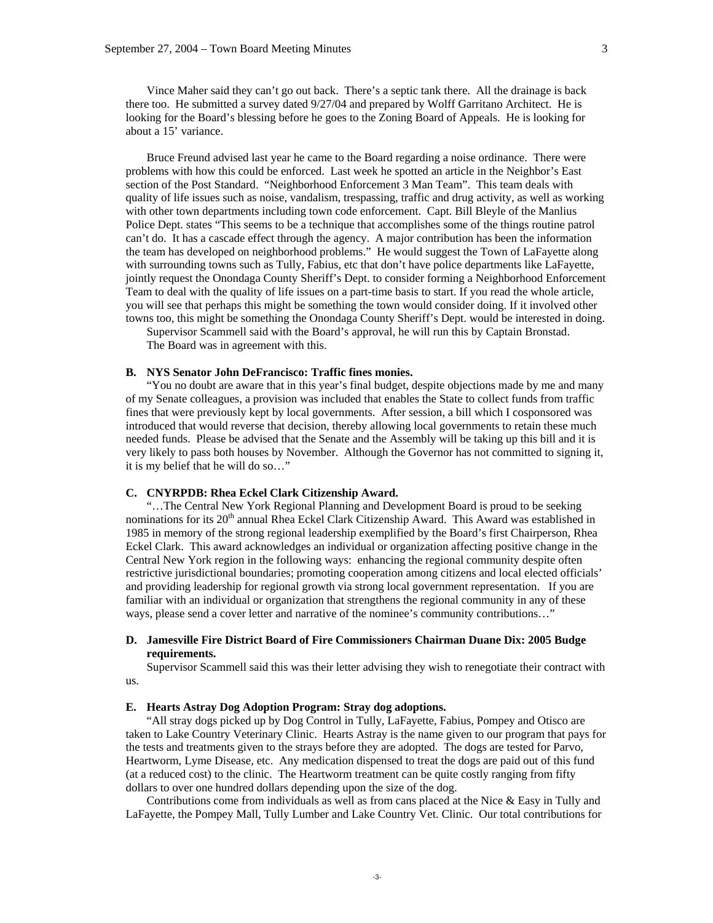3

 Vince Maher said they can't go out back. There's a septic tank there. All the drainage is back there too. He submitted a survey dated 9/27/04 and prepared by Wolff Garritano Architect. He is looking for the Board's blessing before he goes to the Zoning Board of Appeals. He is looking for about a 15' variance.

 Bruce Freund advised last year he came to the Board regarding a noise ordinance. There were problems with how this could be enforced. Last week he spotted an article in the Neighbor's East section of the Post Standard. "Neighborhood Enforcement 3 Man Team". This team deals with quality of life issues such as noise, vandalism, trespassing, traffic and drug activity, as well as working with other town departments including town code enforcement. Capt. Bill Bleyle of the Manlius Police Dept. states "This seems to be a technique that accomplishes some of the things routine patrol can't do. It has a cascade effect through the agency. A major contribution has been the information the team has developed on neighborhood problems." He would suggest the Town of LaFayette along with surrounding towns such as Tully, Fabius, etc that don't have police departments like LaFayette, jointly request the Onondaga County Sheriff's Dept. to consider forming a Neighborhood Enforcement Team to deal with the quality of life issues on a part-time basis to start. If you read the whole article, you will see that perhaps this might be something the town would consider doing. If it involved other towns too, this might be something the Onondaga County Sheriff's Dept. would be interested in doing.

 Supervisor Scammell said with the Board's approval, he will run this by Captain Bronstad. The Board was in agreement with this.

### **B. NYS Senator John DeFrancisco: Traffic fines monies.**

 "You no doubt are aware that in this year's final budget, despite objections made by me and many of my Senate colleagues, a provision was included that enables the State to collect funds from traffic fines that were previously kept by local governments. After session, a bill which I cosponsored was introduced that would reverse that decision, thereby allowing local governments to retain these much needed funds. Please be advised that the Senate and the Assembly will be taking up this bill and it is very likely to pass both houses by November. Although the Governor has not committed to signing it, it is my belief that he will do so…"

### **C. CNYRPDB: Rhea Eckel Clark Citizenship Award.**

 "…The Central New York Regional Planning and Development Board is proud to be seeking nominations for its 20<sup>th</sup> annual Rhea Eckel Clark Citizenship Award. This Award was established in 1985 in memory of the strong regional leadership exemplified by the Board's first Chairperson, Rhea Eckel Clark. This award acknowledges an individual or organization affecting positive change in the Central New York region in the following ways: enhancing the regional community despite often restrictive jurisdictional boundaries; promoting cooperation among citizens and local elected officials' and providing leadership for regional growth via strong local government representation. If you are familiar with an individual or organization that strengthens the regional community in any of these ways, please send a cover letter and narrative of the nominee's community contributions…"

## **D. Jamesville Fire District Board of Fire Commissioners Chairman Duane Dix: 2005 Budge requirements.**

 Supervisor Scammell said this was their letter advising they wish to renegotiate their contract with us.

### **E. Hearts Astray Dog Adoption Program: Stray dog adoptions.**

 "All stray dogs picked up by Dog Control in Tully, LaFayette, Fabius, Pompey and Otisco are taken to Lake Country Veterinary Clinic. Hearts Astray is the name given to our program that pays for the tests and treatments given to the strays before they are adopted. The dogs are tested for Parvo, Heartworm, Lyme Disease, etc. Any medication dispensed to treat the dogs are paid out of this fund (at a reduced cost) to the clinic. The Heartworm treatment can be quite costly ranging from fifty dollars to over one hundred dollars depending upon the size of the dog.

 Contributions come from individuals as well as from cans placed at the Nice & Easy in Tully and LaFayette, the Pompey Mall, Tully Lumber and Lake Country Vet. Clinic. Our total contributions for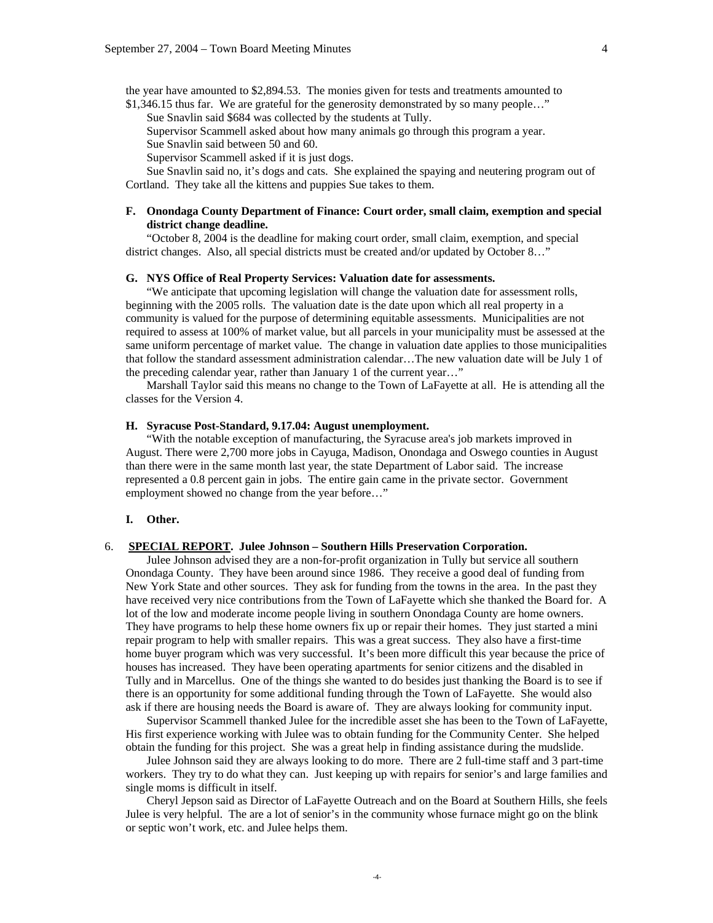the year have amounted to \$2,894.53. The monies given for tests and treatments amounted to

\$1,346.15 thus far. We are grateful for the generosity demonstrated by so many people..." Sue Snavlin said \$684 was collected by the students at Tully.

Supervisor Scammell asked about how many animals go through this program a year.

Sue Snavlin said between 50 and 60.

Supervisor Scammell asked if it is just dogs.

 Sue Snavlin said no, it's dogs and cats. She explained the spaying and neutering program out of Cortland. They take all the kittens and puppies Sue takes to them.

## **F. Onondaga County Department of Finance: Court order, small claim, exemption and special district change deadline.**

 "October 8, 2004 is the deadline for making court order, small claim, exemption, and special district changes. Also, all special districts must be created and/or updated by October 8…"

### **G. NYS Office of Real Property Services: Valuation date for assessments.**

 "We anticipate that upcoming legislation will change the valuation date for assessment rolls, beginning with the 2005 rolls. The valuation date is the date upon which all real property in a community is valued for the purpose of determining equitable assessments. Municipalities are not required to assess at 100% of market value, but all parcels in your municipality must be assessed at the same uniform percentage of market value. The change in valuation date applies to those municipalities that follow the standard assessment administration calendar…The new valuation date will be July 1 of the preceding calendar year, rather than January 1 of the current year…"

 Marshall Taylor said this means no change to the Town of LaFayette at all. He is attending all the classes for the Version 4.

## **H. Syracuse Post-Standard, 9.17.04: August unemployment.**

 "With the notable exception of manufacturing, the Syracuse area's job markets improved in August. There were 2,700 more jobs in Cayuga, Madison, Onondaga and Oswego counties in August than there were in the same month last year, the state Department of Labor said. The increase represented a 0.8 percent gain in jobs. The entire gain came in the private sector. Government employment showed no change from the year before…"

#### **I. Other.**

## 6. **SPECIAL REPORT. Julee Johnson – Southern Hills Preservation Corporation.**

 Julee Johnson advised they are a non-for-profit organization in Tully but service all southern Onondaga County. They have been around since 1986. They receive a good deal of funding from New York State and other sources. They ask for funding from the towns in the area. In the past they have received very nice contributions from the Town of LaFayette which she thanked the Board for. A lot of the low and moderate income people living in southern Onondaga County are home owners. They have programs to help these home owners fix up or repair their homes. They just started a mini repair program to help with smaller repairs. This was a great success. They also have a first-time home buyer program which was very successful. It's been more difficult this year because the price of houses has increased. They have been operating apartments for senior citizens and the disabled in Tully and in Marcellus. One of the things she wanted to do besides just thanking the Board is to see if there is an opportunity for some additional funding through the Town of LaFayette. She would also ask if there are housing needs the Board is aware of. They are always looking for community input.

 Supervisor Scammell thanked Julee for the incredible asset she has been to the Town of LaFayette, His first experience working with Julee was to obtain funding for the Community Center. She helped obtain the funding for this project. She was a great help in finding assistance during the mudslide.

 Julee Johnson said they are always looking to do more. There are 2 full-time staff and 3 part-time workers. They try to do what they can. Just keeping up with repairs for senior's and large families and single moms is difficult in itself.

 Cheryl Jepson said as Director of LaFayette Outreach and on the Board at Southern Hills, she feels Julee is very helpful. The are a lot of senior's in the community whose furnace might go on the blink or septic won't work, etc. and Julee helps them.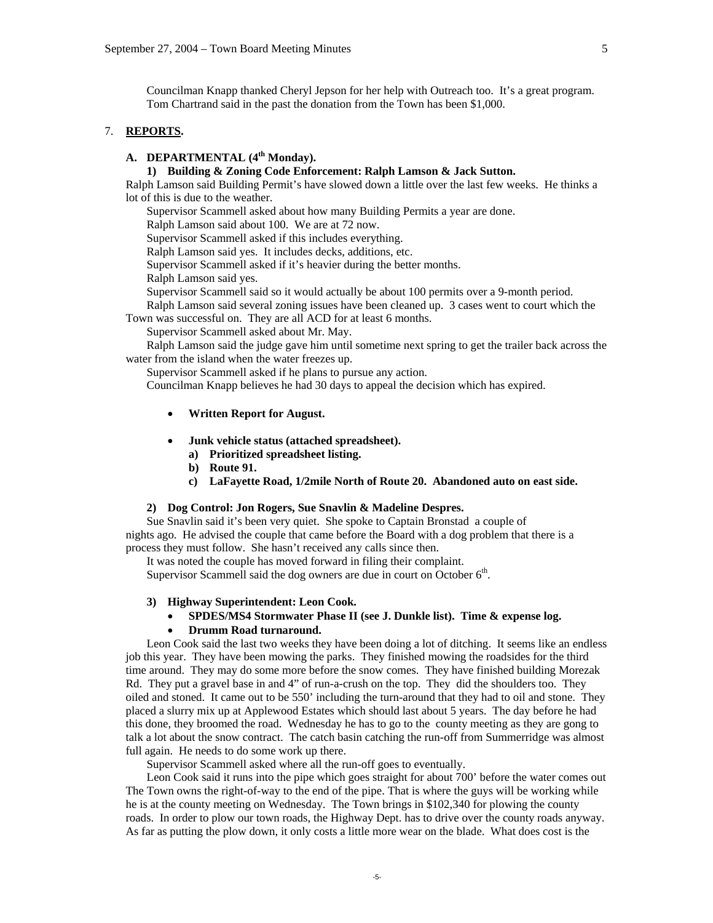Councilman Knapp thanked Cheryl Jepson for her help with Outreach too. It's a great program. Tom Chartrand said in the past the donation from the Town has been \$1,000.

## 7. **REPORTS.**

# **A. DEPARTMENTAL (4th Monday).**

## **1) Building & Zoning Code Enforcement: Ralph Lamson & Jack Sutton.**

Ralph Lamson said Building Permit's have slowed down a little over the last few weeks. He thinks a lot of this is due to the weather.

Supervisor Scammell asked about how many Building Permits a year are done.

Ralph Lamson said about 100. We are at 72 now.

Supervisor Scammell asked if this includes everything.

Ralph Lamson said yes. It includes decks, additions, etc.

Supervisor Scammell asked if it's heavier during the better months.

Ralph Lamson said yes.

Supervisor Scammell said so it would actually be about 100 permits over a 9-month period.

 Ralph Lamson said several zoning issues have been cleaned up. 3 cases went to court which the Town was successful on. They are all ACD for at least 6 months.

Supervisor Scammell asked about Mr. May.

 Ralph Lamson said the judge gave him until sometime next spring to get the trailer back across the water from the island when the water freezes up.

Supervisor Scammell asked if he plans to pursue any action.

Councilman Knapp believes he had 30 days to appeal the decision which has expired.

- **Written Report for August.**
- **Junk vehicle status (attached spreadsheet).** 
	- **a) Prioritized spreadsheet listing.**
	- **b) Route 91.**
	- **c) LaFayette Road, 1/2mile North of Route 20. Abandoned auto on east side.**

## **2) Dog Control: Jon Rogers, Sue Snavlin & Madeline Despres.**

Sue Snavlin said it's been very quiet. She spoke to Captain Bronstad a couple of nights ago. He advised the couple that came before the Board with a dog problem that there is a process they must follow. She hasn't received any calls since then.

It was noted the couple has moved forward in filing their complaint.

Supervisor Scammell said the dog owners are due in court on October  $6<sup>th</sup>$ .

### **3) Highway Superintendent: Leon Cook.**

• **SPDES/MS4 Stormwater Phase II (see J. Dunkle list). Time & expense log.** 

#### • **Drumm Road turnaround.**

Leon Cook said the last two weeks they have been doing a lot of ditching. It seems like an endless job this year. They have been mowing the parks. They finished mowing the roadsides for the third time around. They may do some more before the snow comes. They have finished building Morezak Rd. They put a gravel base in and 4" of run-a-crush on the top. They did the shoulders too. They oiled and stoned. It came out to be 550' including the turn-around that they had to oil and stone. They placed a slurry mix up at Applewood Estates which should last about 5 years. The day before he had this done, they broomed the road. Wednesday he has to go to the county meeting as they are gong to talk a lot about the snow contract. The catch basin catching the run-off from Summerridge was almost full again. He needs to do some work up there.

Supervisor Scammell asked where all the run-off goes to eventually.

 Leon Cook said it runs into the pipe which goes straight for about 700' before the water comes out The Town owns the right-of-way to the end of the pipe. That is where the guys will be working while he is at the county meeting on Wednesday. The Town brings in \$102,340 for plowing the county roads. In order to plow our town roads, the Highway Dept. has to drive over the county roads anyway. As far as putting the plow down, it only costs a little more wear on the blade. What does cost is the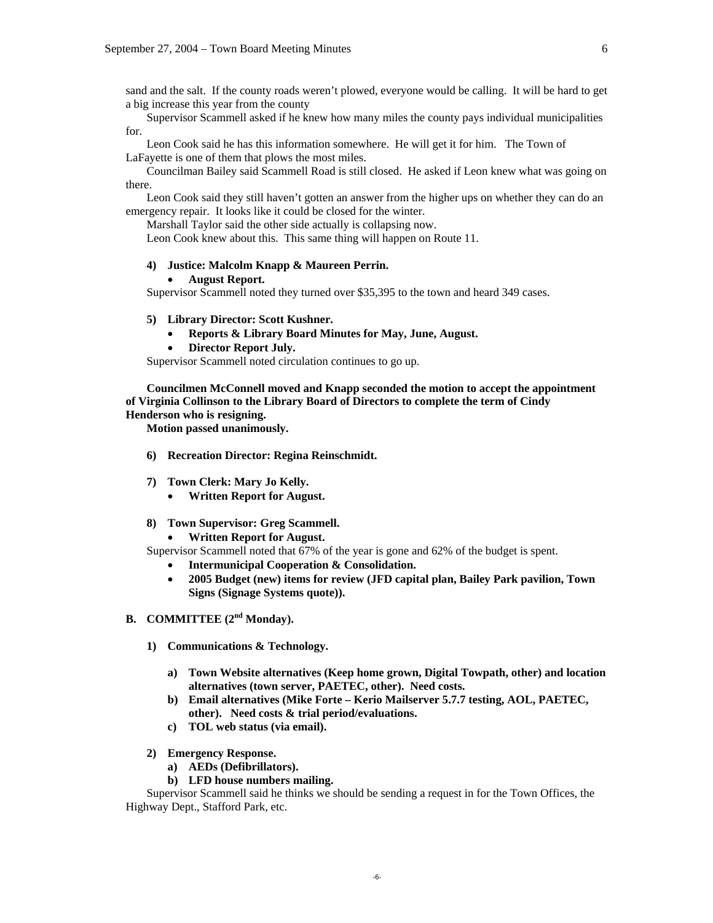sand and the salt. If the county roads weren't plowed, everyone would be calling. It will be hard to get a big increase this year from the county

 Supervisor Scammell asked if he knew how many miles the county pays individual municipalities for.

 Leon Cook said he has this information somewhere. He will get it for him. The Town of LaFayette is one of them that plows the most miles.

 Councilman Bailey said Scammell Road is still closed. He asked if Leon knew what was going on there.

 Leon Cook said they still haven't gotten an answer from the higher ups on whether they can do an emergency repair. It looks like it could be closed for the winter.

Marshall Taylor said the other side actually is collapsing now.

Leon Cook knew about this. This same thing will happen on Route 11.

### **4) Justice: Malcolm Knapp & Maureen Perrin.**

### • **August Report.**

Supervisor Scammell noted they turned over \$35,395 to the town and heard 349 cases.

#### **5) Library Director: Scott Kushner.**

- **Reports & Library Board Minutes for May, June, August.**
- **Director Report July.**

Supervisor Scammell noted circulation continues to go up.

**Councilmen McConnell moved and Knapp seconded the motion to accept the appointment of Virginia Collinson to the Library Board of Directors to complete the term of Cindy Henderson who is resigning.** 

 **Motion passed unanimously.** 

- **6) Recreation Director: Regina Reinschmidt.**
- **7) Town Clerk: Mary Jo Kelly.** 
	- **Written Report for August.**
- **8) Town Supervisor: Greg Scammell.** 
	- **Written Report for August.**

Supervisor Scammell noted that 67% of the year is gone and 62% of the budget is spent.

- **Intermunicipal Cooperation & Consolidation.**
- **2005 Budget (new) items for review (JFD capital plan, Bailey Park pavilion, Town Signs (Signage Systems quote)).**
- **B. COMMITTEE (2nd Monday).** 
	- **1) Communications & Technology.** 
		- **a) Town Website alternatives (Keep home grown, Digital Towpath, other) and location alternatives (town server, PAETEC, other). Need costs.**
		- **b) Email alternatives (Mike Forte Kerio Mailserver 5.7.7 testing, AOL, PAETEC, other). Need costs & trial period/evaluations.**
		- **c) TOL web status (via email).**
	- **2) Emergency Response.** 
		- **a) AEDs (Defibrillators).**
		- **b) LFD house numbers mailing.**

 Supervisor Scammell said he thinks we should be sending a request in for the Town Offices, the Highway Dept., Stafford Park, etc.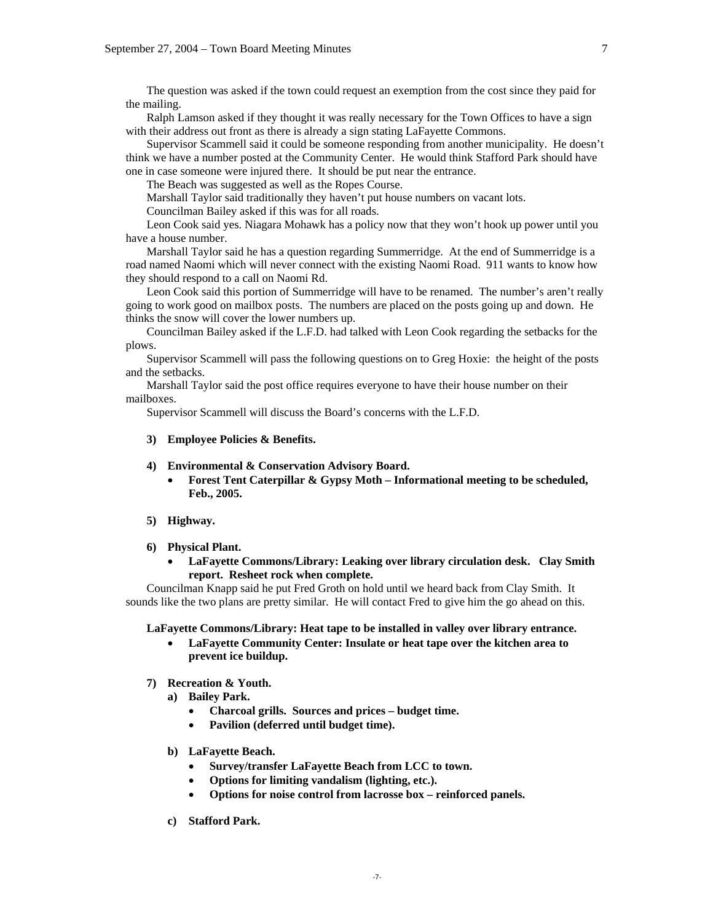The question was asked if the town could request an exemption from the cost since they paid for the mailing.

 Ralph Lamson asked if they thought it was really necessary for the Town Offices to have a sign with their address out front as there is already a sign stating LaFayette Commons.

 Supervisor Scammell said it could be someone responding from another municipality. He doesn't think we have a number posted at the Community Center. He would think Stafford Park should have one in case someone were injured there. It should be put near the entrance.

The Beach was suggested as well as the Ropes Course.

Marshall Taylor said traditionally they haven't put house numbers on vacant lots.

Councilman Bailey asked if this was for all roads.

 Leon Cook said yes. Niagara Mohawk has a policy now that they won't hook up power until you have a house number.

 Marshall Taylor said he has a question regarding Summerridge. At the end of Summerridge is a road named Naomi which will never connect with the existing Naomi Road. 911 wants to know how they should respond to a call on Naomi Rd.

 Leon Cook said this portion of Summerridge will have to be renamed. The number's aren't really going to work good on mailbox posts. The numbers are placed on the posts going up and down. He thinks the snow will cover the lower numbers up.

 Councilman Bailey asked if the L.F.D. had talked with Leon Cook regarding the setbacks for the plows.

 Supervisor Scammell will pass the following questions on to Greg Hoxie: the height of the posts and the setbacks.

 Marshall Taylor said the post office requires everyone to have their house number on their mailboxes.

Supervisor Scammell will discuss the Board's concerns with the L.F.D.

### **3) Employee Policies & Benefits.**

### **4) Environmental & Conservation Advisory Board.**

- **Forest Tent Caterpillar & Gypsy Moth Informational meeting to be scheduled, Feb., 2005.**
- **5) Highway.**

### **6) Physical Plant.**

• **LaFayette Commons/Library: Leaking over library circulation desk. Clay Smith report. Resheet rock when complete.** 

 Councilman Knapp said he put Fred Groth on hold until we heard back from Clay Smith. It sounds like the two plans are pretty similar. He will contact Fred to give him the go ahead on this.

**LaFayette Commons/Library: Heat tape to be installed in valley over library entrance.** 

• **LaFayette Community Center: Insulate or heat tape over the kitchen area to prevent ice buildup.** 

### **7) Recreation & Youth.**

- **a) Bailey Park.** 
	- **Charcoal grills. Sources and prices budget time.**
	- **Pavilion (deferred until budget time).**
- **b) LaFayette Beach.** 
	- **Survey/transfer LaFayette Beach from LCC to town.**
	- **Options for limiting vandalism (lighting, etc.).**
	- **Options for noise control from lacrosse box reinforced panels.**
- **c) Stafford Park.**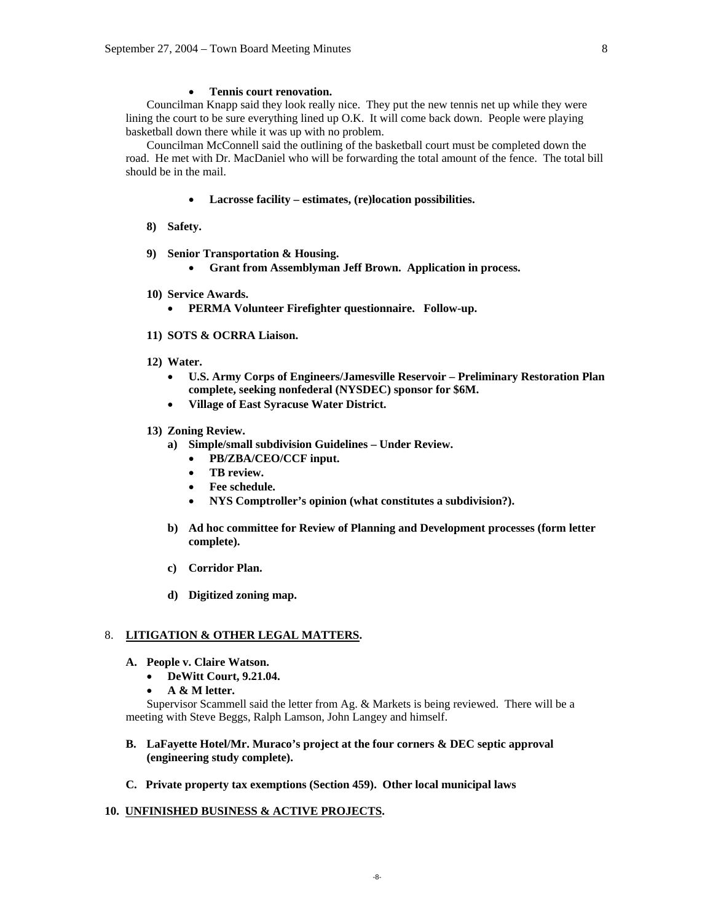#### • **Tennis court renovation.**

 Councilman Knapp said they look really nice. They put the new tennis net up while they were lining the court to be sure everything lined up O.K. It will come back down. People were playing basketball down there while it was up with no problem.

 Councilman McConnell said the outlining of the basketball court must be completed down the road. He met with Dr. MacDaniel who will be forwarding the total amount of the fence. The total bill should be in the mail.

- **Lacrosse facility estimates, (re)location possibilities.**
- **8) Safety.**
- **9) Senior Transportation & Housing.** 
	- **Grant from Assemblyman Jeff Brown. Application in process.**
- **10) Service Awards.** 
	- **PERMA Volunteer Firefighter questionnaire. Follow-up.**
- **11) SOTS & OCRRA Liaison.**
- **12) Water.** 
	- **U.S. Army Corps of Engineers/Jamesville Reservoir Preliminary Restoration Plan complete, seeking nonfederal (NYSDEC) sponsor for \$6M.**
	- **Village of East Syracuse Water District.**
- **13) Zoning Review.** 
	- **a) Simple/small subdivision Guidelines Under Review.** 
		- **PB/ZBA/CEO/CCF input.**
		- **TB review.**
		- **Fee schedule.**
		- **NYS Comptroller's opinion (what constitutes a subdivision?).**
	- **b) Ad hoc committee for Review of Planning and Development processes (form letter complete).**
	- **c) Corridor Plan.**
	- **d) Digitized zoning map.**

## 8. **LITIGATION & OTHER LEGAL MATTERS.**

- **A. People v. Claire Watson.** 
	- **DeWitt Court, 9.21.04.**
	- **A & M letter.**

 Supervisor Scammell said the letter from Ag. & Markets is being reviewed. There will be a meeting with Steve Beggs, Ralph Lamson, John Langey and himself.

## **B. LaFayette Hotel/Mr. Muraco's project at the four corners & DEC septic approval (engineering study complete).**

**C. Private property tax exemptions (Section 459). Other local municipal laws** 

## **10. UNFINISHED BUSINESS & ACTIVE PROJECTS.**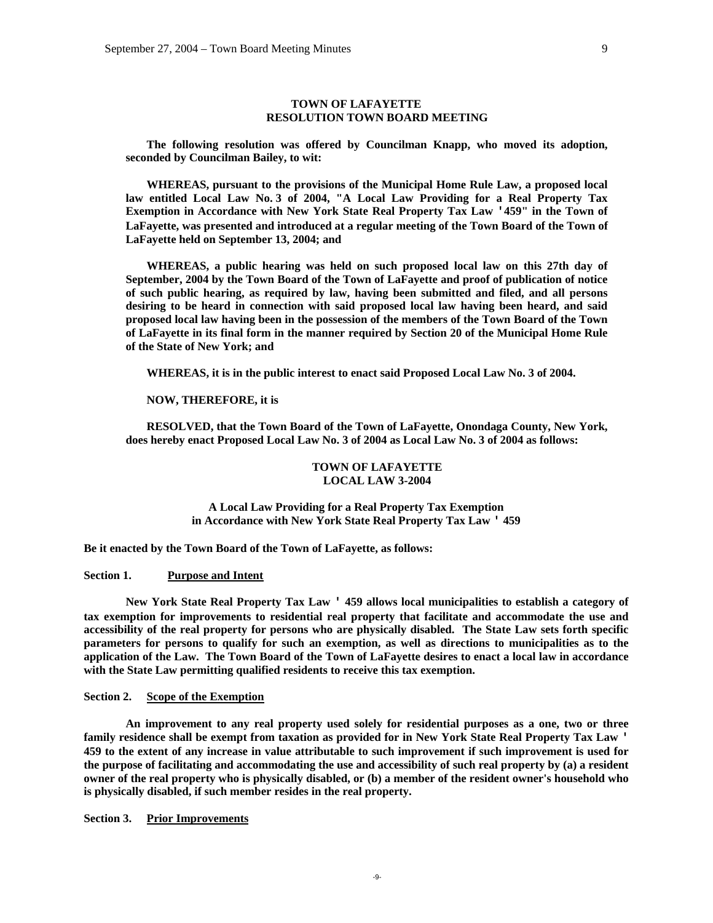### **TOWN OF LAFAYETTE RESOLUTION TOWN BOARD MEETING**

 **The following resolution was offered by Councilman Knapp, who moved its adoption, seconded by Councilman Bailey, to wit:** 

 **WHEREAS, pursuant to the provisions of the Municipal Home Rule Law, a proposed local law entitled Local Law No. 3 of 2004, "A Local Law Providing for a Real Property Tax Exemption in Accordance with New York State Real Property Tax Law '459" in the Town of LaFayette, was presented and introduced at a regular meeting of the Town Board of the Town of LaFayette held on September 13, 2004; and** 

 **WHEREAS, a public hearing was held on such proposed local law on this 27th day of September, 2004 by the Town Board of the Town of LaFayette and proof of publication of notice of such public hearing, as required by law, having been submitted and filed, and all persons desiring to be heard in connection with said proposed local law having been heard, and said proposed local law having been in the possession of the members of the Town Board of the Town of LaFayette in its final form in the manner required by Section 20 of the Municipal Home Rule of the State of New York; and** 

 **WHEREAS, it is in the public interest to enact said Proposed Local Law No. 3 of 2004.** 

#### **NOW, THEREFORE, it is**

 **RESOLVED, that the Town Board of the Town of LaFayette, Onondaga County, New York, does hereby enact Proposed Local Law No. 3 of 2004 as Local Law No. 3 of 2004 as follows:** 

### **TOWN OF LAFAYETTE LOCAL LAW 3-2004**

**A Local Law Providing for a Real Property Tax Exemption in Accordance with New York State Real Property Tax Law ' 459** 

**Be it enacted by the Town Board of the Town of LaFayette, as follows:** 

## **Section 1. Purpose and Intent**

**New York State Real Property Tax Law ' 459 allows local municipalities to establish a category of tax exemption for improvements to residential real property that facilitate and accommodate the use and accessibility of the real property for persons who are physically disabled. The State Law sets forth specific parameters for persons to qualify for such an exemption, as well as directions to municipalities as to the application of the Law. The Town Board of the Town of LaFayette desires to enact a local law in accordance with the State Law permitting qualified residents to receive this tax exemption.** 

### **Section 2. Scope of the Exemption**

**An improvement to any real property used solely for residential purposes as a one, two or three family residence shall be exempt from taxation as provided for in New York State Real Property Tax Law ' 459 to the extent of any increase in value attributable to such improvement if such improvement is used for the purpose of facilitating and accommodating the use and accessibility of such real property by (a) a resident owner of the real property who is physically disabled, or (b) a member of the resident owner's household who is physically disabled, if such member resides in the real property.** 

**Section 3. Prior Improvements**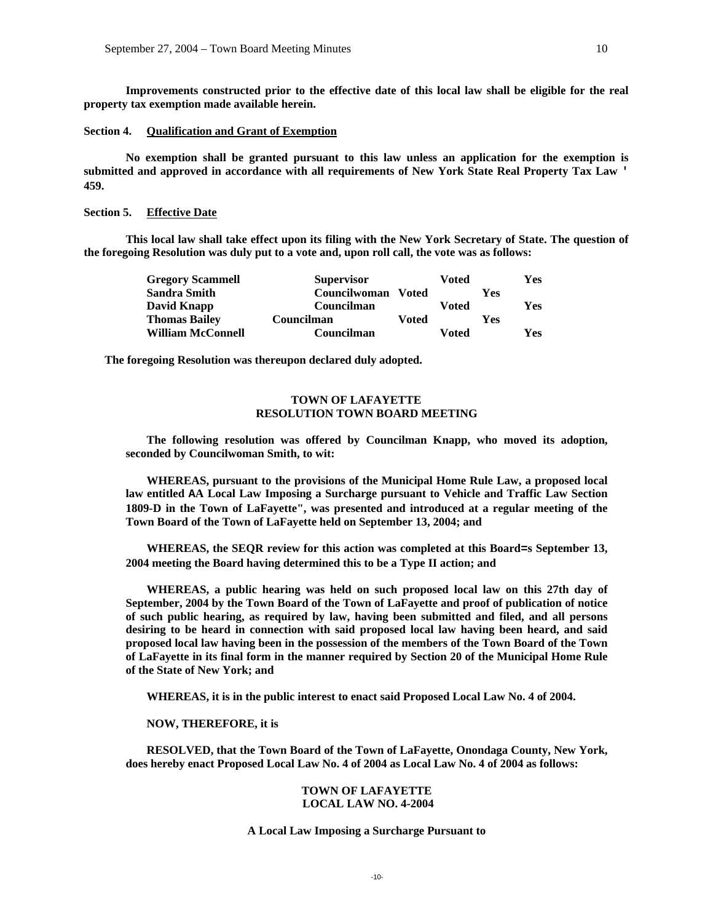**Improvements constructed prior to the effective date of this local law shall be eligible for the real property tax exemption made available herein.** 

## **Section 4. Qualification and Grant of Exemption**

**No exemption shall be granted pursuant to this law unless an application for the exemption is submitted and approved in accordance with all requirements of New York State Real Property Tax Law ' 459.** 

## **Section 5. Effective Date**

**This local law shall take effect upon its filing with the New York Secretary of State. The question of the foregoing Resolution was duly put to a vote and, upon roll call, the vote was as follows:** 

| <b>Gregory Scammell</b>  | <b>Supervisor</b> |              | Voted |     | <b>Yes</b> |
|--------------------------|-------------------|--------------|-------|-----|------------|
| <b>Sandra Smith</b>      | Councilwoman      | <b>Voted</b> |       | Yes |            |
| David Knapp              | Councilman        |              | Voted |     | Yes.       |
| <b>Thomas Bailey</b>     | Councilman        | Voted        |       | Yes |            |
| <b>William McConnell</b> | Councilman        |              | Voted |     | <b>Yes</b> |

**The foregoing Resolution was thereupon declared duly adopted.** 

## **TOWN OF LAFAYETTE RESOLUTION TOWN BOARD MEETING**

 **The following resolution was offered by Councilman Knapp, who moved its adoption, seconded by Councilwoman Smith, to wit:** 

 **WHEREAS, pursuant to the provisions of the Municipal Home Rule Law, a proposed local law entitled AA Local Law Imposing a Surcharge pursuant to Vehicle and Traffic Law Section 1809-D in the Town of LaFayette", was presented and introduced at a regular meeting of the Town Board of the Town of LaFayette held on September 13, 2004; and** 

 **WHEREAS, the SEQR review for this action was completed at this Board=s September 13, 2004 meeting the Board having determined this to be a Type II action; and** 

 **WHEREAS, a public hearing was held on such proposed local law on this 27th day of September, 2004 by the Town Board of the Town of LaFayette and proof of publication of notice of such public hearing, as required by law, having been submitted and filed, and all persons desiring to be heard in connection with said proposed local law having been heard, and said proposed local law having been in the possession of the members of the Town Board of the Town of LaFayette in its final form in the manner required by Section 20 of the Municipal Home Rule of the State of New York; and** 

 **WHEREAS, it is in the public interest to enact said Proposed Local Law No. 4 of 2004.** 

## **NOW, THEREFORE, it is**

 **RESOLVED, that the Town Board of the Town of LaFayette, Onondaga County, New York, does hereby enact Proposed Local Law No. 4 of 2004 as Local Law No. 4 of 2004 as follows:** 

#### **TOWN OF LAFAYETTE LOCAL LAW NO. 4-2004**

### **A Local Law Imposing a Surcharge Pursuant to**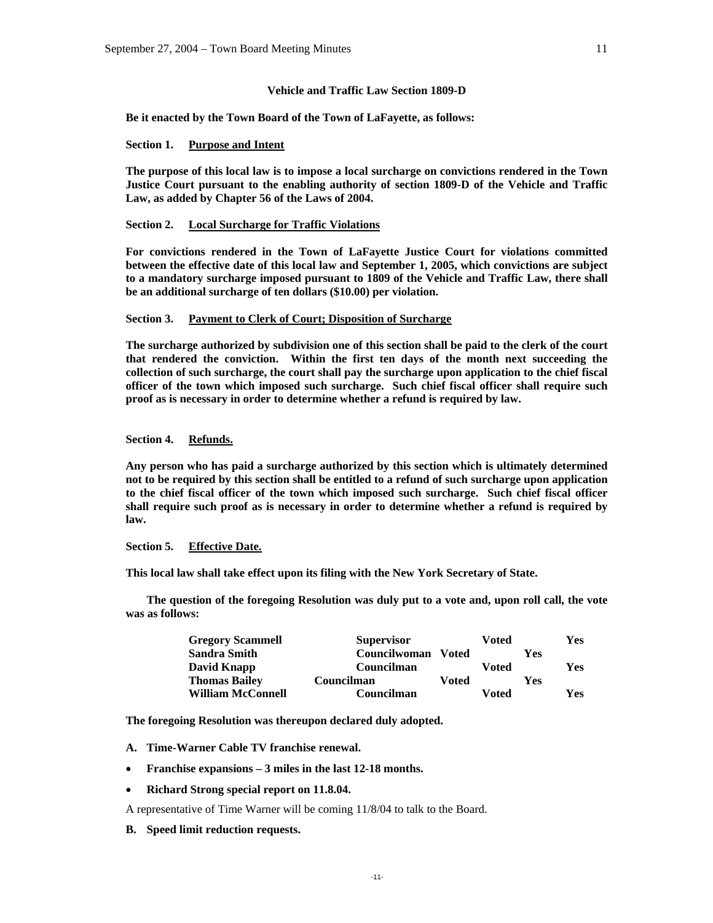### **Vehicle and Traffic Law Section 1809-D**

**Be it enacted by the Town Board of the Town of LaFayette, as follows:** 

#### **Section 1. Purpose and Intent**

**The purpose of this local law is to impose a local surcharge on convictions rendered in the Town Justice Court pursuant to the enabling authority of section 1809-D of the Vehicle and Traffic Law, as added by Chapter 56 of the Laws of 2004.** 

## **Section 2. Local Surcharge for Traffic Violations**

**For convictions rendered in the Town of LaFayette Justice Court for violations committed between the effective date of this local law and September 1, 2005, which convictions are subject to a mandatory surcharge imposed pursuant to 1809 of the Vehicle and Traffic Law, there shall be an additional surcharge of ten dollars (\$10.00) per violation.** 

#### **Section 3. Payment to Clerk of Court; Disposition of Surcharge**

**The surcharge authorized by subdivision one of this section shall be paid to the clerk of the court that rendered the conviction. Within the first ten days of the month next succeeding the collection of such surcharge, the court shall pay the surcharge upon application to the chief fiscal officer of the town which imposed such surcharge. Such chief fiscal officer shall require such proof as is necessary in order to determine whether a refund is required by law.** 

#### **Section 4. Refunds.**

**Any person who has paid a surcharge authorized by this section which is ultimately determined not to be required by this section shall be entitled to a refund of such surcharge upon application to the chief fiscal officer of the town which imposed such surcharge. Such chief fiscal officer shall require such proof as is necessary in order to determine whether a refund is required by law.** 

#### **Section 5. Effective Date.**

**This local law shall take effect upon its filing with the New York Secretary of State.** 

 **The question of the foregoing Resolution was duly put to a vote and, upon roll call, the vote was as follows:** 

| <b>Gregory Scammell</b>  | <b>Supervisor</b> |              | Voted |     | Yes |
|--------------------------|-------------------|--------------|-------|-----|-----|
| <b>Sandra Smith</b>      | Councilwoman      | <b>Voted</b> |       | Yes |     |
| David Knapp              | Councilman        |              | Voted |     | Yes |
| <b>Thomas Bailey</b>     | Councilman        | Voted        |       | Yes |     |
| <b>William McConnell</b> | Councilman        |              | Voted |     | Yes |

**The foregoing Resolution was thereupon declared duly adopted.** 

- **A. Time-Warner Cable TV franchise renewal.**
- **Franchise expansions 3 miles in the last 12-18 months.**
- **Richard Strong special report on 11.8.04.**

A representative of Time Warner will be coming 11/8/04 to talk to the Board.

#### **B. Speed limit reduction requests.**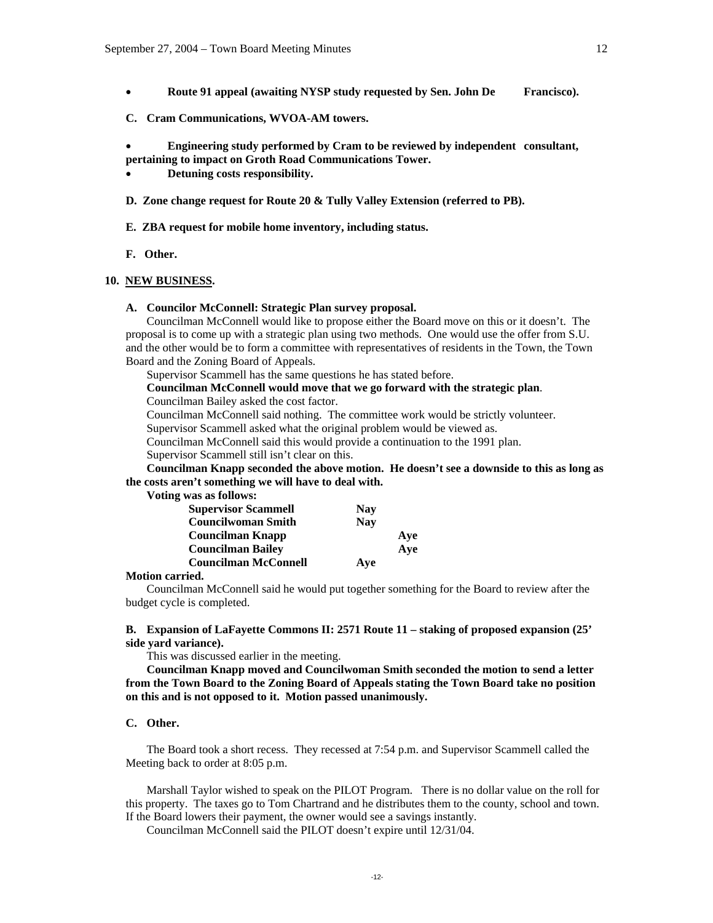- **Route 91 appeal (awaiting NYSP study requested by Sen. John De Francisco).**
- **C. Cram Communications, WVOA-AM towers.**

• **Engineering study performed by Cram to be reviewed by independent consultant, pertaining to impact on Groth Road Communications Tower.** 

- **Detuning costs responsibility.**
- **D. Zone change request for Route 20 & Tully Valley Extension (referred to PB).**
- **E. ZBA request for mobile home inventory, including status.**
- **F. Other.**

### **10. NEW BUSINESS.**

**A. Councilor McConnell: Strategic Plan survey proposal.** 

Councilman McConnell would like to propose either the Board move on this or it doesn't. The proposal is to come up with a strategic plan using two methods. One would use the offer from S.U. and the other would be to form a committee with representatives of residents in the Town, the Town Board and the Zoning Board of Appeals.

Supervisor Scammell has the same questions he has stated before.

 **Councilman McConnell would move that we go forward with the strategic plan**.

Councilman Bailey asked the cost factor.

Councilman McConnell said nothing. The committee work would be strictly volunteer.

Supervisor Scammell asked what the original problem would be viewed as.

Councilman McConnell said this would provide a continuation to the 1991 plan.

Supervisor Scammell still isn't clear on this.

**Councilman Knapp seconded the above motion. He doesn't see a downside to this as long as the costs aren't something we will have to deal with.** 

 **Voting was as follows:** 

| <b>Supervisor Scammell</b>  | <b>Nav</b> |     |
|-----------------------------|------------|-----|
| <b>Councilwoman Smith</b>   | <b>Nav</b> |     |
| Councilman Knapp            |            | Ave |
| <b>Councilman Bailey</b>    |            | Ave |
| <b>Councilman McConnell</b> | Ave        |     |

### **Motion carried.**

 Councilman McConnell said he would put together something for the Board to review after the budget cycle is completed.

### **B. Expansion of LaFayette Commons II: 2571 Route 11 – staking of proposed expansion (25' side yard variance).**

This was discussed earlier in the meeting.

**Councilman Knapp moved and Councilwoman Smith seconded the motion to send a letter from the Town Board to the Zoning Board of Appeals stating the Town Board take no position on this and is not opposed to it. Motion passed unanimously.** 

## **C. Other.**

The Board took a short recess. They recessed at 7:54 p.m. and Supervisor Scammell called the Meeting back to order at 8:05 p.m.

Marshall Taylor wished to speak on the PILOT Program. There is no dollar value on the roll for this property. The taxes go to Tom Chartrand and he distributes them to the county, school and town. If the Board lowers their payment, the owner would see a savings instantly.

Councilman McConnell said the PILOT doesn't expire until 12/31/04.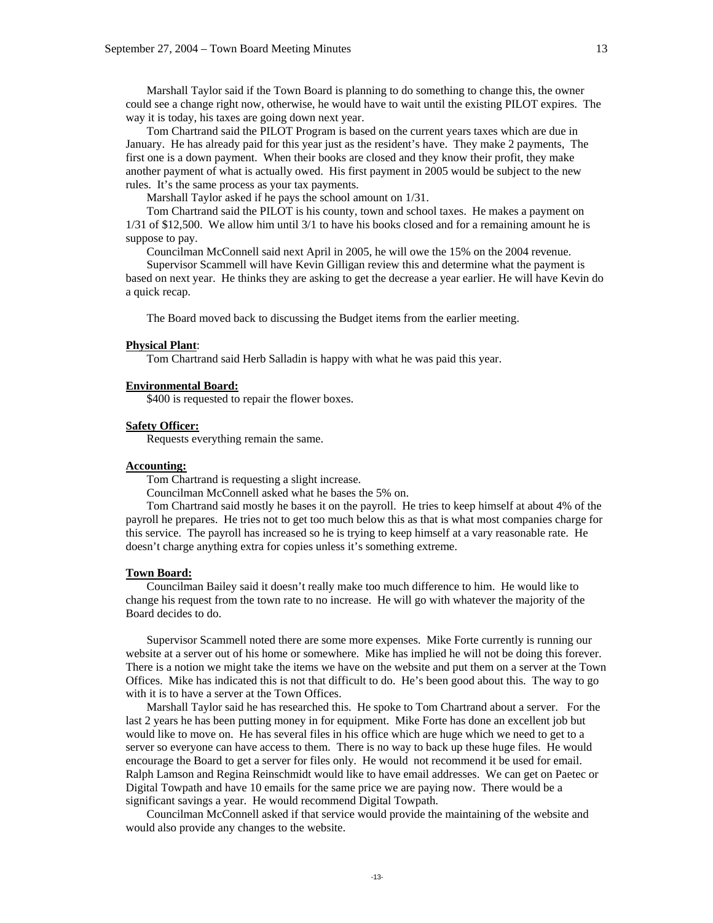Marshall Taylor said if the Town Board is planning to do something to change this, the owner could see a change right now, otherwise, he would have to wait until the existing PILOT expires. The way it is today, his taxes are going down next year.

 Tom Chartrand said the PILOT Program is based on the current years taxes which are due in January. He has already paid for this year just as the resident's have. They make 2 payments, The first one is a down payment. When their books are closed and they know their profit, they make another payment of what is actually owed. His first payment in 2005 would be subject to the new rules. It's the same process as your tax payments.

Marshall Taylor asked if he pays the school amount on 1/31.

 Tom Chartrand said the PILOT is his county, town and school taxes. He makes a payment on 1/31 of \$12,500. We allow him until 3/1 to have his books closed and for a remaining amount he is suppose to pay.

Councilman McConnell said next April in 2005, he will owe the 15% on the 2004 revenue.

 Supervisor Scammell will have Kevin Gilligan review this and determine what the payment is based on next year. He thinks they are asking to get the decrease a year earlier. He will have Kevin do a quick recap.

The Board moved back to discussing the Budget items from the earlier meeting.

#### **Physical Plant**:

Tom Chartrand said Herb Salladin is happy with what he was paid this year.

#### **Environmental Board:**

\$400 is requested to repair the flower boxes.

### **Safety Officer:**

Requests everything remain the same.

### **Accounting:**

Tom Chartrand is requesting a slight increase.

Councilman McConnell asked what he bases the 5% on.

 Tom Chartrand said mostly he bases it on the payroll. He tries to keep himself at about 4% of the payroll he prepares. He tries not to get too much below this as that is what most companies charge for this service. The payroll has increased so he is trying to keep himself at a vary reasonable rate. He doesn't charge anything extra for copies unless it's something extreme.

#### **Town Board:**

 Councilman Bailey said it doesn't really make too much difference to him. He would like to change his request from the town rate to no increase. He will go with whatever the majority of the Board decides to do.

 Supervisor Scammell noted there are some more expenses. Mike Forte currently is running our website at a server out of his home or somewhere. Mike has implied he will not be doing this forever. There is a notion we might take the items we have on the website and put them on a server at the Town Offices. Mike has indicated this is not that difficult to do. He's been good about this. The way to go with it is to have a server at the Town Offices.

 Marshall Taylor said he has researched this. He spoke to Tom Chartrand about a server. For the last 2 years he has been putting money in for equipment. Mike Forte has done an excellent job but would like to move on. He has several files in his office which are huge which we need to get to a server so everyone can have access to them. There is no way to back up these huge files. He would encourage the Board to get a server for files only. He would not recommend it be used for email. Ralph Lamson and Regina Reinschmidt would like to have email addresses. We can get on Paetec or Digital Towpath and have 10 emails for the same price we are paying now. There would be a significant savings a year. He would recommend Digital Towpath.

 Councilman McConnell asked if that service would provide the maintaining of the website and would also provide any changes to the website.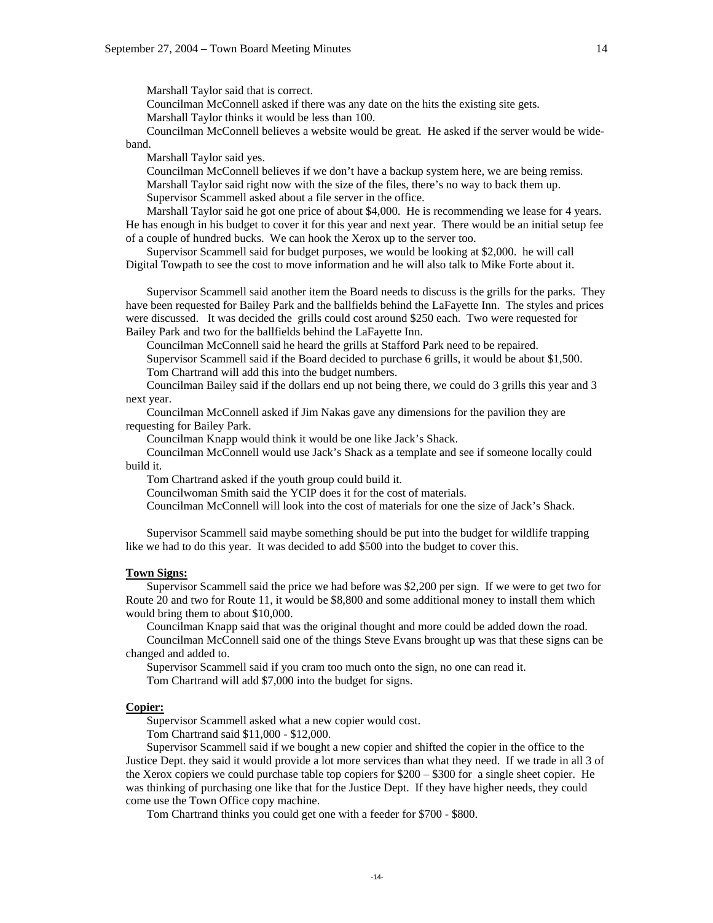Marshall Taylor said that is correct.

Councilman McConnell asked if there was any date on the hits the existing site gets.

Marshall Taylor thinks it would be less than 100.

 Councilman McConnell believes a website would be great. He asked if the server would be wideband.

Marshall Taylor said yes.

 Councilman McConnell believes if we don't have a backup system here, we are being remiss. Marshall Taylor said right now with the size of the files, there's no way to back them up. Supervisor Scammell asked about a file server in the office.

 Marshall Taylor said he got one price of about \$4,000. He is recommending we lease for 4 years. He has enough in his budget to cover it for this year and next year. There would be an initial setup fee of a couple of hundred bucks. We can hook the Xerox up to the server too.

 Supervisor Scammell said for budget purposes, we would be looking at \$2,000. he will call Digital Towpath to see the cost to move information and he will also talk to Mike Forte about it.

 Supervisor Scammell said another item the Board needs to discuss is the grills for the parks. They have been requested for Bailey Park and the ballfields behind the LaFayette Inn. The styles and prices were discussed. It was decided the grills could cost around \$250 each. Two were requested for Bailey Park and two for the ballfields behind the LaFayette Inn.

Councilman McConnell said he heard the grills at Stafford Park need to be repaired.

 Supervisor Scammell said if the Board decided to purchase 6 grills, it would be about \$1,500. Tom Chartrand will add this into the budget numbers.

 Councilman Bailey said if the dollars end up not being there, we could do 3 grills this year and 3 next year.

 Councilman McConnell asked if Jim Nakas gave any dimensions for the pavilion they are requesting for Bailey Park.

Councilman Knapp would think it would be one like Jack's Shack.

 Councilman McConnell would use Jack's Shack as a template and see if someone locally could build it.

Tom Chartrand asked if the youth group could build it.

Councilwoman Smith said the YCIP does it for the cost of materials.

Councilman McConnell will look into the cost of materials for one the size of Jack's Shack.

 Supervisor Scammell said maybe something should be put into the budget for wildlife trapping like we had to do this year. It was decided to add \$500 into the budget to cover this.

### **Town Signs:**

 Supervisor Scammell said the price we had before was \$2,200 per sign. If we were to get two for Route 20 and two for Route 11, it would be \$8,800 and some additional money to install them which would bring them to about \$10,000.

 Councilman Knapp said that was the original thought and more could be added down the road. Councilman McConnell said one of the things Steve Evans brought up was that these signs can be changed and added to.

 Supervisor Scammell said if you cram too much onto the sign, no one can read it. Tom Chartrand will add \$7,000 into the budget for signs.

#### **Copier:**

Supervisor Scammell asked what a new copier would cost.

Tom Chartrand said \$11,000 - \$12,000.

 Supervisor Scammell said if we bought a new copier and shifted the copier in the office to the Justice Dept. they said it would provide a lot more services than what they need. If we trade in all 3 of the Xerox copiers we could purchase table top copiers for \$200 – \$300 for a single sheet copier. He was thinking of purchasing one like that for the Justice Dept. If they have higher needs, they could come use the Town Office copy machine.

Tom Chartrand thinks you could get one with a feeder for \$700 - \$800.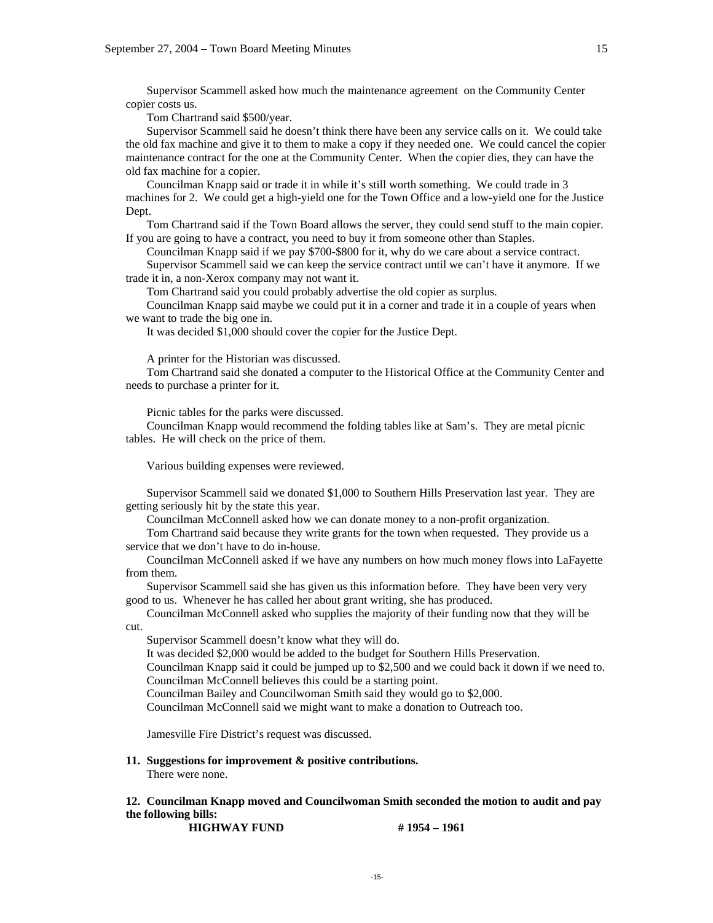Supervisor Scammell asked how much the maintenance agreement on the Community Center copier costs us.

Tom Chartrand said \$500/year.

 Supervisor Scammell said he doesn't think there have been any service calls on it. We could take the old fax machine and give it to them to make a copy if they needed one. We could cancel the copier maintenance contract for the one at the Community Center. When the copier dies, they can have the old fax machine for a copier.

 Councilman Knapp said or trade it in while it's still worth something. We could trade in 3 machines for 2. We could get a high-yield one for the Town Office and a low-yield one for the Justice Dept.

 Tom Chartrand said if the Town Board allows the server, they could send stuff to the main copier. If you are going to have a contract, you need to buy it from someone other than Staples.

Councilman Knapp said if we pay \$700-\$800 for it, why do we care about a service contract.

 Supervisor Scammell said we can keep the service contract until we can't have it anymore. If we trade it in, a non-Xerox company may not want it.

Tom Chartrand said you could probably advertise the old copier as surplus.

 Councilman Knapp said maybe we could put it in a corner and trade it in a couple of years when we want to trade the big one in.

It was decided \$1,000 should cover the copier for the Justice Dept.

A printer for the Historian was discussed.

 Tom Chartrand said she donated a computer to the Historical Office at the Community Center and needs to purchase a printer for it.

Picnic tables for the parks were discussed.

 Councilman Knapp would recommend the folding tables like at Sam's. They are metal picnic tables. He will check on the price of them.

Various building expenses were reviewed.

 Supervisor Scammell said we donated \$1,000 to Southern Hills Preservation last year. They are getting seriously hit by the state this year.

Councilman McConnell asked how we can donate money to a non-profit organization.

 Tom Chartrand said because they write grants for the town when requested. They provide us a service that we don't have to do in-house.

 Councilman McConnell asked if we have any numbers on how much money flows into LaFayette from them.

 Supervisor Scammell said she has given us this information before. They have been very very good to us. Whenever he has called her about grant writing, she has produced.

 Councilman McConnell asked who supplies the majority of their funding now that they will be cut.

Supervisor Scammell doesn't know what they will do.

It was decided \$2,000 would be added to the budget for Southern Hills Preservation.

 Councilman Knapp said it could be jumped up to \$2,500 and we could back it down if we need to. Councilman McConnell believes this could be a starting point.

Councilman Bailey and Councilwoman Smith said they would go to \$2,000.

Councilman McConnell said we might want to make a donation to Outreach too.

Jamesville Fire District's request was discussed.

### **11. Suggestions for improvement & positive contributions.**

There were none.

## **12. Councilman Knapp moved and Councilwoman Smith seconded the motion to audit and pay the following bills:**

**HIGHWAY FUND** # 1954 – 1961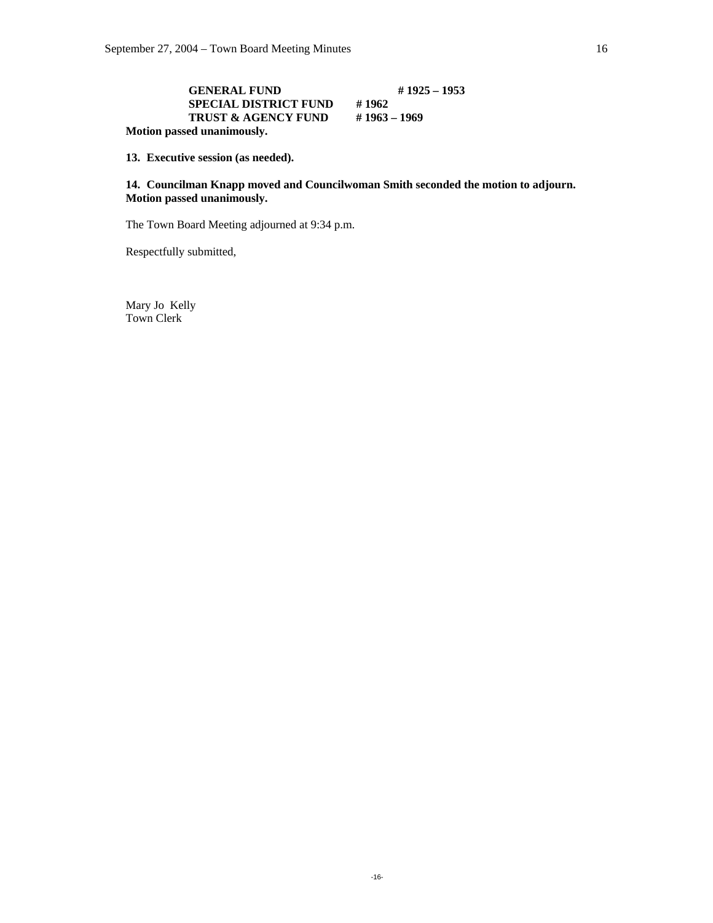# **GENERAL FUND** # 1925 – 1953<br>**SPECIAL DISTRICT FUND** # 1962 **SPECIAL DISTRICT FUND # 1962<br>
TRUST & AGENCY FUND # 1963 – 1969 TRUST & AGENCY FUND Motion passed unanimously.**

**13. Executive session (as needed).** 

## **14. Councilman Knapp moved and Councilwoman Smith seconded the motion to adjourn. Motion passed unanimously.**

The Town Board Meeting adjourned at 9:34 p.m.

Respectfully submitted,

Mary Jo Kelly Town Clerk